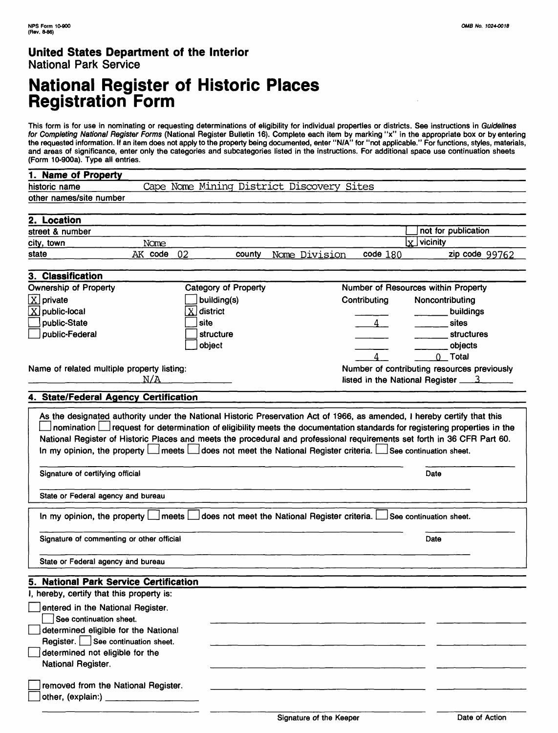# **National Register of Historic Places Registration Form**

This form is for use in nominating or requesting determinations of eligibility for individual properties or districts. See instructions in Guidelines for Completing National Register Forms (National Register Bulletin 16). Complete each item by marking "x" in the appropriate box or by entering the requested information. If an item does not apply to the property being documented, enter "N/A" for "not applicable." For functions, styles, materials, and areas of significance, enter only the categories and subcategories listed in the instructions. For additional space use continuation sheets (Form 10-900a). Type all entries.

| 1. Name of Property                                                                                                                                                                                                                                                                                                                                                         |         |                                                                                                               |               |                |                                               |
|-----------------------------------------------------------------------------------------------------------------------------------------------------------------------------------------------------------------------------------------------------------------------------------------------------------------------------------------------------------------------------|---------|---------------------------------------------------------------------------------------------------------------|---------------|----------------|-----------------------------------------------|
| historic name                                                                                                                                                                                                                                                                                                                                                               |         | Cape Nome Mining District Discovery Sites                                                                     |               |                |                                               |
| other names/site number                                                                                                                                                                                                                                                                                                                                                     |         |                                                                                                               |               |                |                                               |
|                                                                                                                                                                                                                                                                                                                                                                             |         |                                                                                                               |               |                |                                               |
| 2. Location                                                                                                                                                                                                                                                                                                                                                                 |         |                                                                                                               |               |                |                                               |
| street & number                                                                                                                                                                                                                                                                                                                                                             |         |                                                                                                               |               |                | not for publication                           |
| city, town                                                                                                                                                                                                                                                                                                                                                                  | Nome    |                                                                                                               |               |                | $\vert \mathrm{x} \vert$<br>vicinity          |
| state                                                                                                                                                                                                                                                                                                                                                                       | AK code | 02<br>county                                                                                                  | Nome Division | code 180       | zip code 99762                                |
|                                                                                                                                                                                                                                                                                                                                                                             |         |                                                                                                               |               |                |                                               |
| 3. Classification                                                                                                                                                                                                                                                                                                                                                           |         |                                                                                                               |               |                |                                               |
| <b>Ownership of Property</b>                                                                                                                                                                                                                                                                                                                                                |         | <b>Category of Property</b>                                                                                   |               |                | Number of Resources within Property           |
| $X$ private                                                                                                                                                                                                                                                                                                                                                                 |         | building(s)                                                                                                   |               | Contributing   | Noncontributing                               |
| $X$ public-local                                                                                                                                                                                                                                                                                                                                                            |         | $\overline{\mathrm{X}}$ district                                                                              |               |                | buildings                                     |
| public-State                                                                                                                                                                                                                                                                                                                                                                |         | site                                                                                                          |               | $\overline{4}$ | sites                                         |
| public-Federal                                                                                                                                                                                                                                                                                                                                                              |         | structure                                                                                                     |               |                | structures                                    |
|                                                                                                                                                                                                                                                                                                                                                                             |         | object                                                                                                        |               |                | objects                                       |
|                                                                                                                                                                                                                                                                                                                                                                             |         |                                                                                                               |               | $\Delta$       | 0 Total                                       |
| Name of related multiple property listing:                                                                                                                                                                                                                                                                                                                                  |         |                                                                                                               |               |                | Number of contributing resources previously   |
|                                                                                                                                                                                                                                                                                                                                                                             | N/A     |                                                                                                               |               |                | listed in the National Register $\frac{3}{2}$ |
|                                                                                                                                                                                                                                                                                                                                                                             |         |                                                                                                               |               |                |                                               |
| 4. State/Federal Agency Certification                                                                                                                                                                                                                                                                                                                                       |         |                                                                                                               |               |                |                                               |
| nomination   request for determination of eligibility meets the documentation standards for registering properties in the<br>National Register of Historic Places and meets the procedural and professional requirements set forth in 36 CFR Part 60.<br>In my opinion, the property <b>Let about the set of the Stational Register</b> criteria. Lesse continuation sheet. |         |                                                                                                               |               |                |                                               |
| Signature of certifying official                                                                                                                                                                                                                                                                                                                                            |         |                                                                                                               |               |                | Date                                          |
| State or Federal agency and bureau                                                                                                                                                                                                                                                                                                                                          |         |                                                                                                               |               |                |                                               |
|                                                                                                                                                                                                                                                                                                                                                                             |         | In my opinion, the property   meets   does not meet the National Register criteria.   See continuation sheet. |               |                |                                               |
| Signature of commenting or other official<br>Date                                                                                                                                                                                                                                                                                                                           |         |                                                                                                               |               |                |                                               |
| State or Federal agency and bureau                                                                                                                                                                                                                                                                                                                                          |         |                                                                                                               |               |                |                                               |
| 5. National Park Service Certification                                                                                                                                                                                                                                                                                                                                      |         |                                                                                                               |               |                |                                               |
| I, hereby, certify that this property is:                                                                                                                                                                                                                                                                                                                                   |         |                                                                                                               |               |                |                                               |
| entered in the National Register.                                                                                                                                                                                                                                                                                                                                           |         |                                                                                                               |               |                |                                               |
| See continuation sheet.                                                                                                                                                                                                                                                                                                                                                     |         |                                                                                                               |               |                |                                               |
| determined eligible for the National                                                                                                                                                                                                                                                                                                                                        |         |                                                                                                               |               |                |                                               |
| Register.   See continuation sheet.                                                                                                                                                                                                                                                                                                                                         |         |                                                                                                               |               |                |                                               |
| determined not eligible for the                                                                                                                                                                                                                                                                                                                                             |         |                                                                                                               |               |                |                                               |
| National Register.                                                                                                                                                                                                                                                                                                                                                          |         |                                                                                                               |               |                |                                               |
|                                                                                                                                                                                                                                                                                                                                                                             |         |                                                                                                               |               |                |                                               |
| removed from the National Register.                                                                                                                                                                                                                                                                                                                                         |         |                                                                                                               |               |                |                                               |
| other, (explain:)                                                                                                                                                                                                                                                                                                                                                           |         |                                                                                                               |               |                |                                               |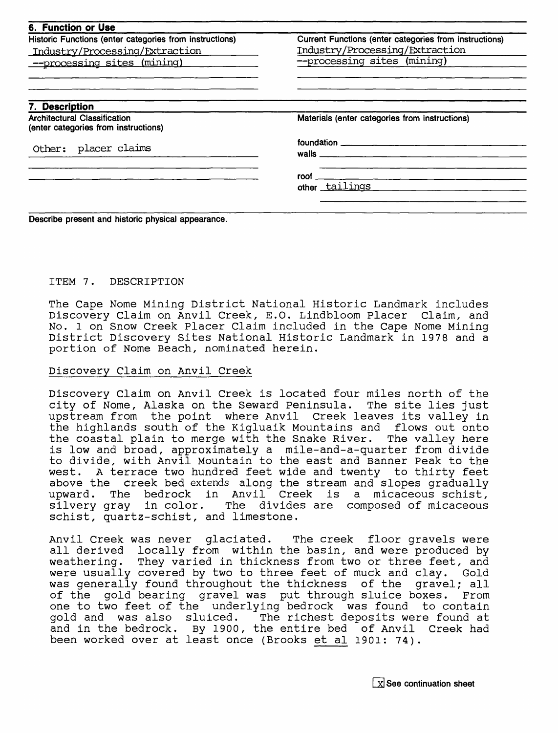| 6. Function or Use                                                          |                                                        |  |  |  |
|-----------------------------------------------------------------------------|--------------------------------------------------------|--|--|--|
| Historic Functions (enter categories from instructions)                     | Current Functions (enter categories from instructions) |  |  |  |
| Industry/Processing/Extraction                                              | Industry/Processing/Extraction                         |  |  |  |
| --processing sites (mining)                                                 | --processing sites (mining)                            |  |  |  |
| 7. Description                                                              |                                                        |  |  |  |
| <b>Architectural Classification</b><br>(enter categories from instructions) | Materials (enter categories from instructions)         |  |  |  |
|                                                                             |                                                        |  |  |  |
| Other: placer claims                                                        |                                                        |  |  |  |
|                                                                             | $\mathsf{root}$ $\_\_$                                 |  |  |  |
|                                                                             | other tailings                                         |  |  |  |

#### ITEM 7. DESCRIPTION

The Cape Nome Mining District National Historic Landmark includes Discovery Claim on Anvil Creek, E.O. Lindbloom Placer Claim, and No. 1 on Snow Creek Placer Claim included in the Cape Nome Mining District Discovery Sites National Historic Landmark in 1978 and a portion of Nome Beach, nominated herein.

#### Discovery Claim on Anvil Creek

Discovery Claim on Anvil Creek is located four miles north of the city of Nome, Alaska on the Seward Peninsula. The site lies just upstream from the point where Anvil Creek leaves its valley in the highlands south of the Kigluaik Mountains and flows out onto the coastal plain to merge with the Snake River. The valley here is low and broad, approximately a mile-and-a-quarter from divide to divide, with Anvil Mountain to the east and Banner Peak to the west. A terrace two hundred feet wide and twenty to thirty feet above the creek bed extends along the stream and slopes gradually upward. The bedrock in Anvil Creek is a micaceous schist, silvery gray in color. The divides are composed of micaceous schist, quartz-schist, and limestone.

Anvil Creek was never glaciated. The creek floor gravels were all derived locally from within the basin, and were produced by weathering. They varied in thickness from two or three feet, and were usually covered by two to three feet of muck and clay. Gold was generally found throughout the thickness of the gravel; all of the gold bearing gravel was put through sluice boxes. From one to two feet of the underlying bedrock was found to contain<br>gold and was also sluiced. The richest deposits were found at The richest deposits were found at and in the bedrock. By 1900, the entire bed of Anvil Creek had been worked over at least once (Brooks et al 1901: 74).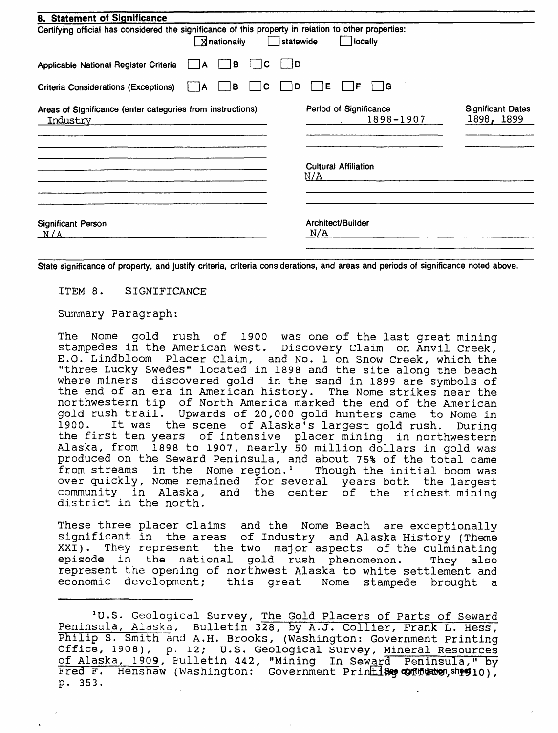| 8. Statement of Significance                                                                                         |           |                                     |                                        |
|----------------------------------------------------------------------------------------------------------------------|-----------|-------------------------------------|----------------------------------------|
| Certifying official has considered the significance of this property in relation to other properties:<br>Xnationally | statewide | locally                             |                                        |
| l B<br>Applicable National Register Criteria<br>A                                                                    | - 1D<br>C |                                     |                                        |
| <b>Criteria Considerations (Exceptions)</b><br>в<br>A                                                                | C<br>D    | ۱G<br>Е<br>F                        |                                        |
| Areas of Significance (enter categories from instructions)<br>Industry                                               |           | Period of Significance<br>1898-1907 | <b>Significant Dates</b><br>1898, 1899 |
|                                                                                                                      |           | <b>Cultural Affiliation</b><br>N/A  |                                        |
| <b>Significant Person</b><br>N/A                                                                                     |           | Architect/Builder<br>N/A            |                                        |

**State significance of property, and justify criteria, criteria considerations, and areas and periods of significance noted above.**

ITEM 8. SIGNIFICANCE

Summary Paragraph:

The Nome gold rush of 1900 was one of the last great mining stampedes in the American West. Discovery Claim on Anvil Creek, E.O. Lindbloom Placer Claim, and No. 1 on Snow Creek, which the "three Lucky Swedes" located in 1898 and the site along the beach where miners discovered gold in the sand in 1899 are symbols of the end of an era in American history. The Nome strikes near the northwestern tip of North America marked the end of the American gold rush trail. Upwards of 20,000 gold hunters came to Nome in 1900. It was the scene of Alaska's largest gold rush. During the first ten years of intensive placer mining in northwestern Alaska, from 1898 to 1907, nearly 50 million dollars in gold was produced on the Seward Peninsula, and about 75% of the total came<br>from streams in the Nome region.' Though the initial boom was from streams in the Nome region.<sup>1</sup> over quickly, Nome remained for several years both the largest community in Alaska, and the center of the richest mining district in the north.

These three placer claims and the Nome Beach are exceptionally significant in the areas of Industry and Alaska History (Theme XXI). They represent the two major aspects of the culminating episode in the national gold rush phenomenon. They also represent the opening of northwest Alaska to white settlement and economic development; this great Nome stampede brought a

<sup>&#</sup>x27;U.S. Geological Survey, The Gold Placers of Parts of Seward Peninsula, Alaska, Bulletin 328, by A.J. Collier, Frank L. Hess, Philip S. Smith and A.H. Brooks, (Washington: Government Printing Office, 1908), p. 12; U.S. Geological Survey, Mineral Resources of Alaska, 1909, Bulletin 442, "Mining In Seward Peninsula," by Fred F. Henshaw (Washington: Government Printi**Bey contidation**, sheet 10), p. 353.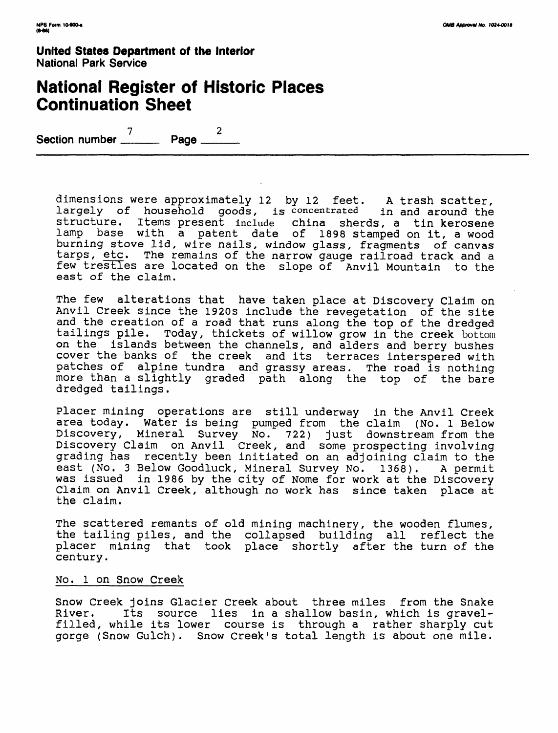## **National Register of Historic Places Continuation Sheet**

7 *2* Section number \_\_\_

dimensions were approximately 12 by 12 feet. A trash scatter, largely of household goods, is concentrated in and around the structure. Items present include china sherds, a tin kerosene lamp base with a patent date of 1898 stamped on it, a wood burning stove lid, wire nails, window glass, fragments of canvas tarps, etc. The remains of the narrow gauge railroad track and a few trestles are located on the slope of Anvil Mountain to the east of the claim.

The few alterations that have taken place at Discovery Claim on Anvil Creek since the 1920s include the revegetation of the site and the creation of a road that runs along the top of the dredged tailings pile. Today, thickets of willow grow in the creek bottom on the islands between the channels, and alders and berry bushes cover the banks of the creek and its terraces interspered with patches of alpine tundra and grassy areas. The road is nothing more than a slightly graded path along the top of the bare dredged tailings.

Placer mining operations are still underway in the Anvil Creek area today. Water is being pumped from the claim (No. 1 Below Discovery, Mineral Survey No. 722) just downstream from the Discovery Claim on Anvil Creek, and some prospecting involving grading has recently been initiated on an adjoining claim to the east (No. 3 Below Goodluck, Mineral Survey No. 1368). A permit was issued in 1986 by the city of Nome for work at the Discovery Claim on Anvil Creek, although no work has since taken place at the claim.

The scattered remants of old mining machinery, the wooden flumes, the tailing piles, and the collapsed building all reflect the placer mining that took place shortly after the turn of the century.

#### No. 1 on Snow Creek

Snow Creek joins Glacier Creek about three miles from the Snake<br>River. Its source lies in a shallow basin, which is gravel-Its source lies in a shallow basin, which is gravelfilled, while its lower course is through a rather sharply cut gorge (Snow Gulch). Snow Creek's total length is about one mile.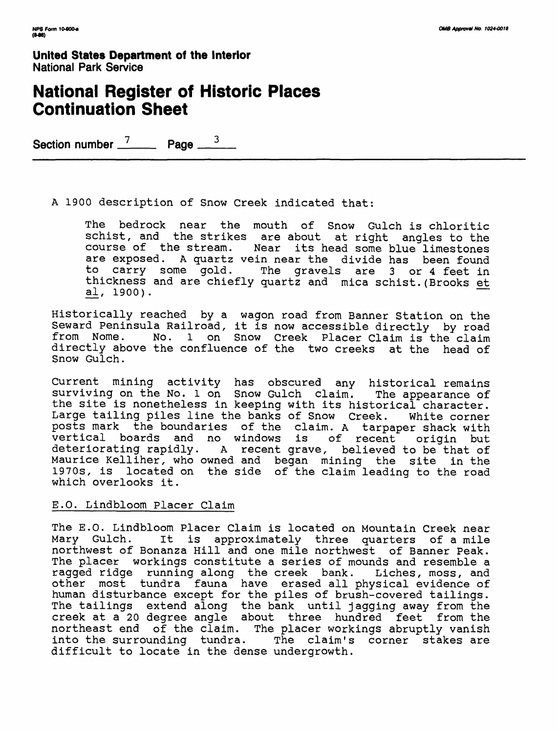# **National Register of Historic Places Continuation Sheet**

Section number  $\frac{7}{2}$  Page  $\frac{3}{2}$ 

A 1900 description of Snow Creek indicated that:

The bedrock near the mouth of Snow Gulch is chloritic schist, and the strikes are about at right angles to the course of the stream. Near its head some blue limestones are exposed. A quartz vein near the divide has been found to carry some gold. The gravels are 3 or 4 feet in thickness and are chiefly quartz and mica schist.(Brooks et al, 1900).

Historically reached by a wagon road from Banner Station on the Seward Peninsula Railroad, it is now accessible directly by road from Nome. No. 1 on Snow Creek Placer Claim is the claim directly above the confluence of the two creeks at the head of Snow Gulch.

Current mining activity has obscured any historical remains surviving on the No. 1 on Snow Gulch claim. The appearance of the site is nonetheless in keeping with its historical character. Large tailing piles line the banks of Snow Creek. White corner posts mark the boundaries of the claim. A tarpaper shack with vertical boards and no windows is of recent origin but deteriorating rapidly. A recent grave, believed to be that of Maurice Kelliher, who owned and began mining the site in the 1970s, is located on the side of the claim leading to the road which overlooks it.

### E.O. Lindbloom Placer Claim

The E.O. Lindbloom Placer Claim is located on Mountain Creek near<br>Mary Gulch. It is approximately three quarters of a mile It is approximately three quarters of a mile northwest of Bonanza Hill and one mile northwest of Banner Peak. The placer workings constitute a series of mounds and resemble a ragged ridge running along the creek bank. Liches, moss, and other most tundra fauna have erased all physical evidence of human disturbance except for the piles of brush-covered tailings. The tailings extend along the bank until jagging away from the creek at a 20 degree angle about three hundred feet from the northeast end of the claim. The placer workings abruptly vanish into the surrounding tundra. The claim's corner stakes are difficult to locate in the dense undergrowth.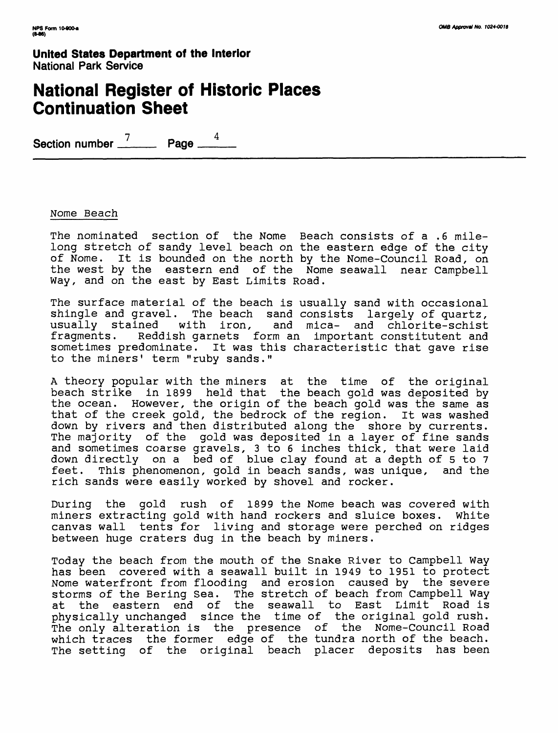# **National Register of Historic Places Continuation Sheet**

Section number  $\frac{7}{2}$  Page  $\frac{4}{2}$ 

#### Nome Beach

The nominated section of the Nome Beach consists of a .6 milelong stretch of sandy level beach on the eastern edge of the city of Nome. It is bounded on the north by the Nome-Council Road, on the west by the eastern end of the Nome seawall near Campbell Way, and on the east by East Limits Road.

The surface material of the beach is usually sand with occasional shingle and gravel. The beach sand consists largely of quartz, usually stained with iron, and mica- and chlorite-schist fragments. Reddish garnets form an important constitutent and sometimes predominate. It was this characteristic that gave rise to the miners' term "ruby sands."

A theory popular with the miners at the time of the original beach strike in 1899 held that the beach gold was deposited by the ocean. However, the origin of the beach gold was the same as that of the creek gold, the bedrock of the region. It was washed down by rivers and then distributed along the shore by currents. The majority of the gold was deposited in a layer of fine sands and sometimes coarse gravels, 3 to 6 inches thick, that were laid down directly on a bed of blue clay found at a depth of 5 to 7 feet. This phenomenon, gold in beach sands, was unique, and the rich sands were easily worked by shovel and rocker.

During the gold rush of 1899 the Nome beach was covered with miners extracting gold with hand rockers and sluice boxes, white canvas wall tents for living and storage were perched on ridges between huge craters dug in the beach by miners.

Today the beach from the mouth of the Snake River to Campbell Way has been covered with a seawall built in 1949 to 1951 to protect Nome waterfront from flooding and erosion caused by the severe storms of the Bering Sea. The stretch of beach from Campbell Way at the eastern end of the seawall to East Limit Road is physically unchanged since the time of the original gold rush. The only alteration is the presence of the Nome-Council Road which traces the former edge of the tundra north of the beach. The setting of the original beach placer deposits has been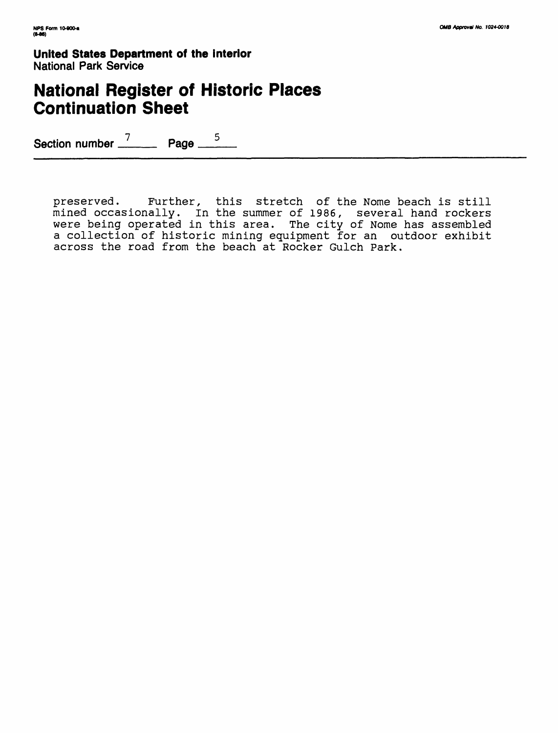# **National Register of Historic Places Continuation Sheet**

Section number  $\frac{7}{2}$  Page  $\frac{5}{2}$ 

preserved. Further, this stretch of the Nome beach is still mined occasionally, in the summer of 1986, several hand rockers were being operated in this area. The city of Nome has assembled a collection of historic mining equipment for an outdoor exhibit across the road from the beach at Rocker Gulch Park.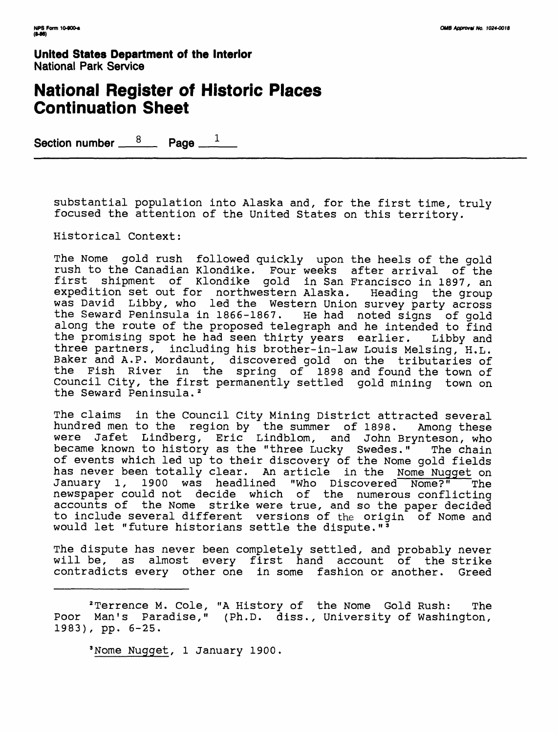## **National Register of Historic Places Continuation Sheet**

Section number  $\frac{8}{2}$  Page  $\frac{1}{2}$ 

substantial population into Alaska and, for the first time, truly focused the attention of the United States on this territory.

Historical Context:

The Nome gold rush followed quickly upon the heels of the gold rush to the Canadian Klondike. Four weeks after arrival of the first shipment of Klondike gold in San Francisco in 1897, an expedition set out for northwestern Alaska. Heading the group was David Libby, who led the Western Union survey party across the Seward Peninsula in 1866-1867. He had noted signs of gold along the route of the proposed telegraph and he intended to find the promising spot he had seen thirty years earlier. Libby and three partners, including his brother-in-law Louis Melsing, H.L. Baker and A.P. Mordaunt, discovered gold on the tributaries of the Fish River in the spring of 1898 and found the town of Council City, the first permanently settled gold mining town on the Seward Peninsula.<sup>2</sup>

The claims in the Council City Mining District attracted several hundred men to the region by the summer of 1898. Among these were Jafet Lindberg, Eric Lindblom, and John Brynteson, who became known to history as the "three Lucky Swedes." The chain of events which led up to their discovery of the Nome gold fields has never been totally clear. An article in the Nome Nugget on January 1, 1900 was headlined "who Discovered Nome?" The newspaper could not decide which of the numerous conflicting accounts of the Nome strike were true, and so the paper decided to include several different versions of the origin of Nome and would let "future historians settle the dispute."<sup>3</sup>

The dispute has never been completely settled, and probably never will be, as almost every first hand account of the strike contradicts every other one in some fashion or another. Greed

<sup>2</sup> Terrence M. Cole, "A History of the Nome Gold Rush: The Poor Man's Paradise," (Ph.D. diss., University of Washington, 1983), pp. 6-25.

<sup>3</sup> Nome Nugget, 1 January 1900.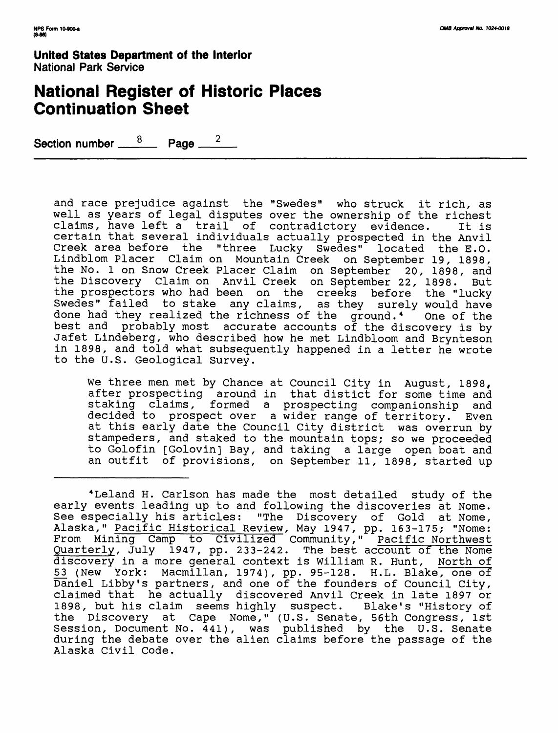## **National Register of Historic Places Continuation Sheet**

Section number  $\frac{8}{2}$  Page  $\frac{2}{3}$ 

and race prejudice against the "Swedes" who struck it rich, as well as years of legal disputes over the ownership of the richest claims, have left a trail of contradictory evidence. It is certain that several individuals actually prospected in the Anvil Creek area before the "three Lucky Swedes" located the E.O. Lindblom Placer Claim on Mountain Creek on September 19, 1898, the No. 1 on Snow Creek Placer Claim on September 20, 1898, and the Discovery Claim on Anvil Creek on September 22, 1898. But the prospectors who had been on the creeks before the "lucky Swedes" failed to stake any claims, as they surely would have done had they realized the richness of the ground.<sup>4</sup> One of the best and probably most accurate accounts of the discovery is by Jafet Lindeberg, who described how he met Lindbloom and Brynteson in 1898, and told what subsequently happened in a letter he wrote to the U.S. Geological Survey.

We three men met by Chance at Council City in August, 1898, after prospecting around in that distict for some time and staking claims, formed a prospecting companionship and decided to prospect over a wider range of territory. Even at this early date the Council City district was overrun by stampeders, and staked to the mountain tops; so we proceeded to Golofin [Golovin] Bay, and taking a large open boat and an outfit of provisions, on September 11, 1898, started up

<sup>4</sup> Leland H. Carlson has made the most detailed study of the early events leading up to and following the discoveries at Nome. See especially his articles: "The Discovery of Gold at Nome, Alaska," Pacific Historical Review, May 1947, pp. 163-175; "Nome: From Mining Camp to Civilized Community," Pacific Northwest Quarterly, July 1947, pp. 233-242. The best account of the Nome discovery in a more general context is William R. Hunt, North of 53 (New York: Macmillan, 1974), pp. 95-128. H.L. Blake, one of Daniel Libby's partners, and one of the founders of Council City, claimed that he actually discovered Anvil Creek in late 1897 or 1898, but his claim seems highly suspect. Blake's "History of the Discovery at Cape Nome," (U.S. Senate, 56th Congress, 1st Session, Document No. 441), was published by the U.S. Senate during the debate over the alien claims before the passage of the Alaska Civil Code.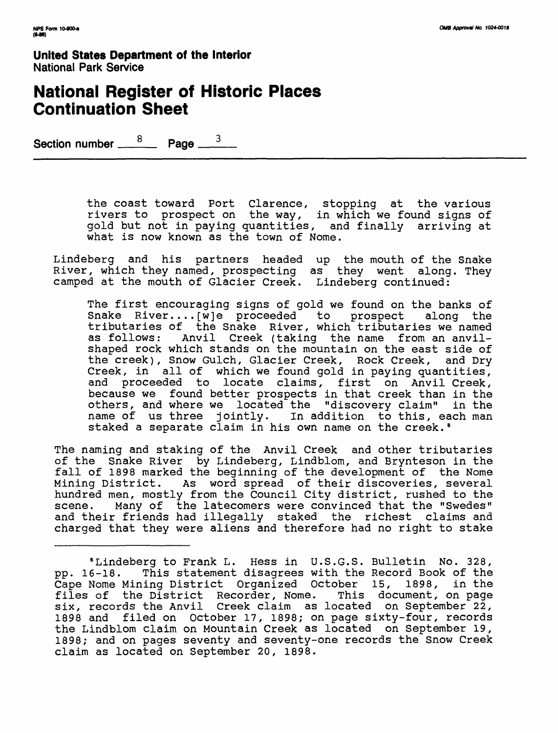## **National Register of Historic Places Continuation Sheet**

Section number  $\frac{8}{2}$  Page  $\frac{3}{2}$ 

the coast toward Port Clarence, stopping at the various rivers to prospect on the way, in which we found signs of gold but not in paying quantities, and finally arriving at what is now known as the town of Nome.

Lindeberg and his partners headed up the mouth of the Snake River, which they named, prospecting as they went along. They camped at the mouth of Glacier Creek. Lindeberg continued:

The first encouraging signs of gold we found on the banks of Snake River....[w]e proceeded to prospect along the tributaries of the Snake River, which tributaries we named as follows: Anvil Creek (taking the name from an anvilshaped rock which stands on the mountain on the east side of the creek), Snow Gulch, Glacier Creek, Rock Creek, and Dry Creek, in all of which we found gold in paying quantities, and proceeded to locate claims, first on Anvil Creek, because we found better prospects in that creek than in the others, and where we located the "discovery claim" in the name of us three jointly. In addition to this, each man staked a separate claim in his own name on the creek.<sup>5</sup>

The naming and staking of the Anvil Creek and other tributaries of the Snake River by Lindeberg, Lindblom, and Brynteson in the fall of 1898 marked the beginning of the development of the Nome Mining District. As word spread of their discoveries, several hundred men, mostly from the Council City district, rushed to the scene. Many of the latecomers were convinced that the "Swedes" and their friends had illegally staked the richest claims and charged that they were aliens and therefore had no right to stake

<sup>5</sup> Lindeberg to Frank L. Hess in U.S.G.S. Bulletin No. 328, pp. 16-18. This statement disagrees with the Record Book of the Cape Nome Mining District Organized October 15, 1898, in the files of the District Recorder, Nome. This document, on page six, records the Anvil Creek claim as located on September 22, 1898 and filed on October 17, 1898; on page sixty-four, records the Lindblom claim on Mountain Creek as located on September 19, 1898; and on pages seventy and seventy-one records the Snow Creek claim as located on September 20, 1898.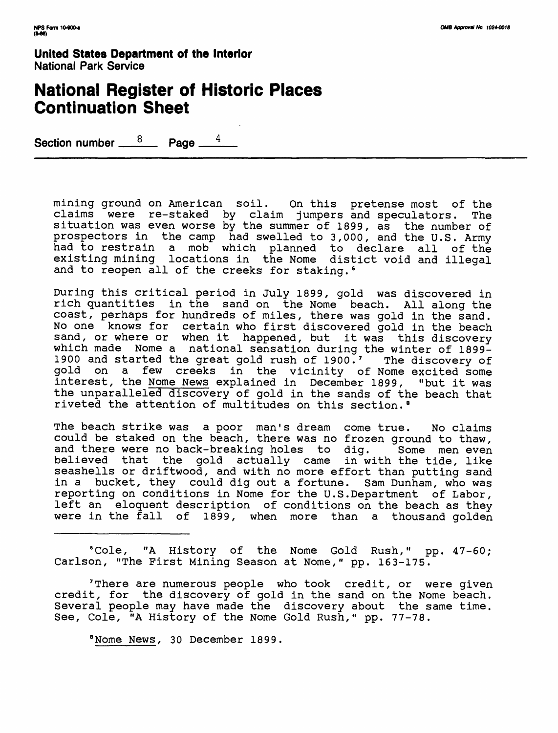## **National Register of Historic Places Continuation Sheet**

Section number  $\frac{8}{2}$  Page  $\frac{4}{4}$ 

mining ground on American soil. On this pretense most of the claims were re-staked by claim jumpers and speculators. The situation was even worse by the summer of 1899, as the number of prospectors in the camp had swelled to 3,000, and the U.S. Army had to restrain a mob which planned to declare all of the existing mining locations in the Nome distict void and illegal and to reopen all of the creeks for staking.<sup>6</sup>

During this critical period in July 1899, gold was discovered in rich quantities in the sand on the Nome beach. All along the coast, perhaps for hundreds of miles, there was gold in the sand. No one knows for certain who first discovered gold in the beach sand, or where or when it happened, but it was this discovery which made Nome a national sensation during the winter of 1899- 1900 and started the great gold rush of 1900.' The discovery of gold on a few creeks in the vicinity of Nome excited some interest, the Nome News explained in December 1899, "but it was the unparalleled discovery of gold in the sands of the beach that riveted the attention of multitudes on this section.<sup>8</sup>

The beach strike was a poor man's dream come true. No claims could be staked on the beach, there was no frozen ground to thaw, and there were no back-breaking holes to dig. Some men even believed that the gold actually came in with the tide, like seashells or driftwood, and with no more effort than putting sand in a bucket, they could dig out a fortune. Sam Dunham, who was reporting on conditions in Nome for the U.S.Department of Labor, left an eloquent description of conditions on the beach as they were in the fall of 1899, when more than a thousand golden

<sup>6</sup> Cole, "A History of the Nome Gold Rush," pp. 47-60; Carlson, "The First Mining Season at Nome," pp. 163-175.

'There are numerous people who took credit, or were given credit, for the discovery of gold in the sand on the Nome beach. Several people may have made the discovery about the same time. See, Cole, "A History of the Nome Gold Rush," pp. 77-78.

<sup>8</sup> Nome News, 30 December 1899.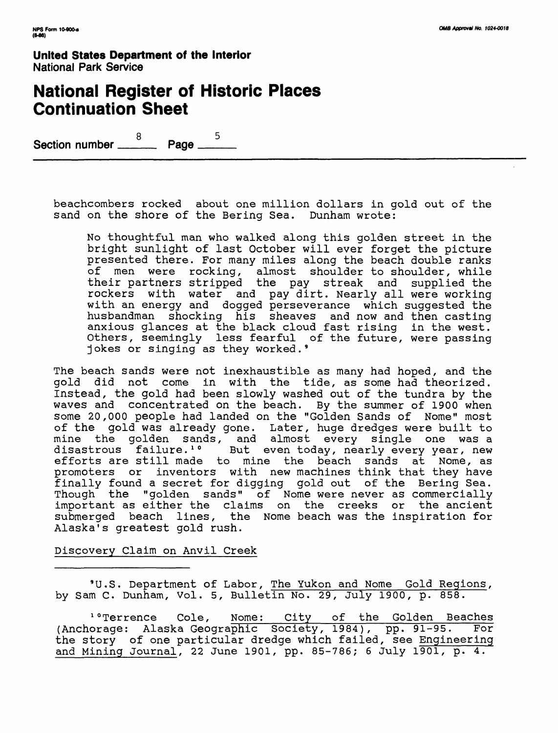# **National Register of Historic Places Continuation Sheet**

 $\frac{8}{\sqrt{25}}$  Page  $\frac{5}{\sqrt{25}}$ Section number \_\_\_\_

beachcombers rocked about one million dollars in gold out of the sand on the shore of the Bering Sea. Dunham wrote:

No thoughtful man who walked along this golden street in the bright sunlight of last October will ever forget the picture presented there. For many miles along the beach double ranks of men were rocking, almost shoulder to shoulder, while their partners stripped the pay streak and supplied the rockers with water and pay dirt. Nearly all were working with an energy and dogged perseverance which suggested the husbandman shocking his sheaves and now and then casting anxious glances at the black cloud fast rising in the west. Others, seemingly less fearful of the future, were passing jokes or singing as they worked. <sup>9</sup>

The beach sands were not inexhaustible as many had hoped, and the gold did not come in with the tide, as some had theorized. Instead, the gold had been slowly washed out of the tundra by the waves and concentrated on the beach. By the summer of 1900 when some 20,000 people had landed on the "Golden Sands of Nome" most of the gold was already gone. Later, huge dredges were built to mine the golden sands, and almost every single one was a disastrous failure.<sup>1</sup>° But even today, nearly every year, new efforts are still made to mine the beach sands at Nome, as promoters or inventors with new machines think that they have finally found a secret for digging gold out of the Bering Sea. Though the "golden sands" of Nome were never as commercially important as either the claims on the creeks or the ancient submerged beach lines, the Nome beach was the inspiration for Alaska's greatest gold rush.

### Discovery Claim on Anvil Creek

<sup>9</sup> U.S. Department of Labor, The Yukon and Nome Gold Regions, by Sam C. Dunham, Vol. 5, Bulletin No. 29, July 1900, p. 858.

<sup>1</sup>°Terrence Cole, Nome: City of the Golden Beaches (Anchorage: Alaska Geogra<del>phic Society, 1984), pp. 91–95. For</del> the story of one particular dredge which failed, see Engineering and Mining Journal, 22 June 1901, pp. 85-786; 6 July 1901, p. 4.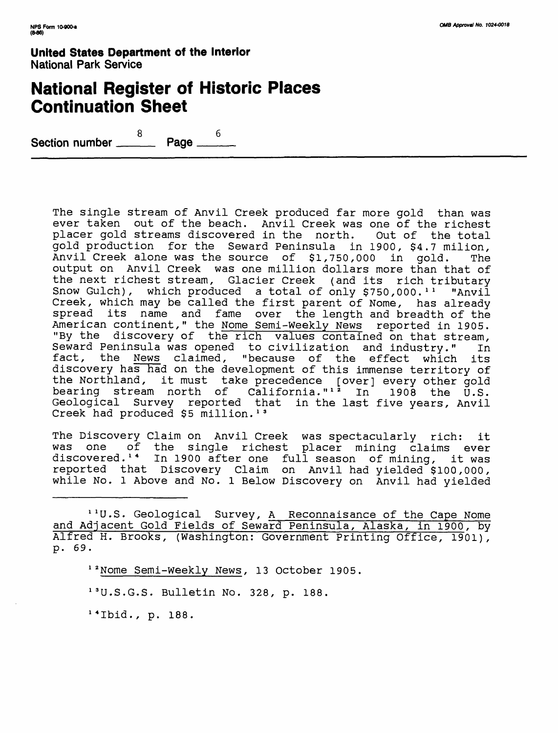## **National Register of Historic Places Continuation Sheet**

8 6 Section number \_\_\_

> The single stream of Anvil Creek produced far more gold than was ever taken out of the beach. Anvil Creek was one of the richest placer gold streams discovered in the north. Out of the total gold production for the Seward Peninsula in 1900, \$4.7 milion, Anvil Creek alone was the source of \$1,750,000 in gold. The output on Anvil Creek was one million dollars more than that of the next richest stream, Glacier Creek (and its rich tributary Snow Gulch), which produced a total of only  $$750,000.^{\text{T}}$  "Anvil Creek, which may be called the first parent of Nome, has already spread its name and fame over the length and breadth of the American continent," the Nome Semi-Weekly News reported in 1905. "By the discovery of the rich values contained on that stream, Seward Peninsula was opened to civilization and industry." In fact, the News claimed, "because of the effect which its discovery has had on the development of this immense territory of the Northland, it must take precedence [over] every other gold bearing stream north of California."<sup>12</sup> In 1908 the U.S. Geological Survey reported that in the last five years, Anvil Creek had produced \$5 million.<sup>13</sup>

> The Discovery Claim on Anvil Creek was spectacularly rich: it was one of the single richest placer mining claims ever discovered.<sup>14</sup> In 1900 after one full season of mining, it was reported that Discovery Claim on Anvil had yielded \$100,000, while No. 1 Above and No. 1 Below Discovery on Anvil had yielded

> <sup>11</sup>U.S. Geological Survey, A Reconnaisance of the Cape Nome and Adjacent Gold Fields of Seward Peninsula, Alaska, in 190Q, by Alfred H. Brooks, (Washington: Government Printing Office, 1901), p. 69.

<sup>12</sup> Nome Semi-Weekly News, 13 October 1905.

13 U.S.G.S. Bulletin No. 328, p. 188.

1 4 Ibid., p. 188.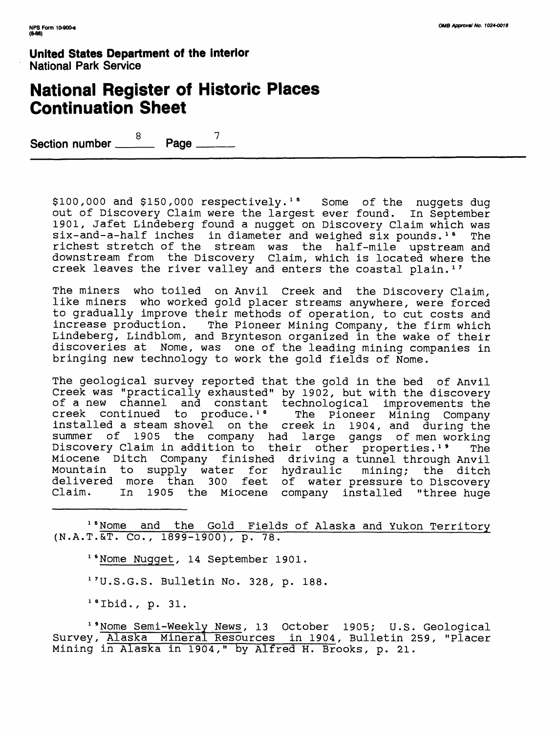# **National Register of Historic Places Continuation Sheet**

 $\frac{8}{\sqrt{2}}$  Page  $\frac{7}{\sqrt{2}}$ Section number \_\_\_\_

> $$100,000$  and  $$150,000$  respectively.<sup>15</sup> Some of the nuggets dug out of Discovery Claim were the largest ever found. In September 1901, Jafet Lindeberg found a nugget on Discovery Claim which was six-and-a-half inches in diameter and weighed six pounds.<sup>16</sup> The richest stretch of the stream was the half-mile upstream and downstream from the Discovery Claim, which is located where the creek leaves the river valley and enters the coastal plain.<sup>17</sup>

> The miners who toiled on Anvil Creek and the Discovery Claim, like miners who worked gold placer streams anywhere, were forced to gradually improve their methods of operation, to cut costs and increase production. The Pioneer Mining Company, the firm which Lindeberg, Lindblom, and Brynteson organized in the wake of their discoveries at Nome, was one of the leading mining companies in bringing new technology to work the gold fields of Nome.

> The geological survey reported that the gold in the bed of Anvil Creek was "practically exhausted" by 1902, but with the discovery of a new channel and constant technological improvements the<br>creek continued to produce.'' The Pioneer Mining Company creek continued to produce.<sup>18</sup> installed a steam shovel on the creek in 1904, and during the summer of 1905 the company had large gangs of men working Discovery Claim in addition to their other properties.<sup>19</sup> The Miocene Ditch Company finished driving a tunnel through Anvil Mountain to supply water for hydraulic mining; the ditch delivered more than 300 feet of water-pressure-to-Discovery<br>Claim, Th 1905 the Miocene company installed "three-huge In 1905 the Miocene company installed "three huge

> <sup>15</sup> Nome and the Gold Fields of Alaska and Yukon Territory (N.A.T.&T. CO., 1899-1900), p. 78.

16 Nome Nugget, 14 September 1901.

<sup>17</sup> U.S.G.S. Bulletin No. 328, p. 188.

 $1$ <sup>8</sup> Ibid., p. 31.

<sup>1</sup> 'Nome Semi-Weekly News, 13 October 1905; U.S. Geological Survey, Alaska Mineral Resources in 1904, Bulletin 259, "Placer Mining in Alaska in 1904," by Alfred H. Brooks, p. 21.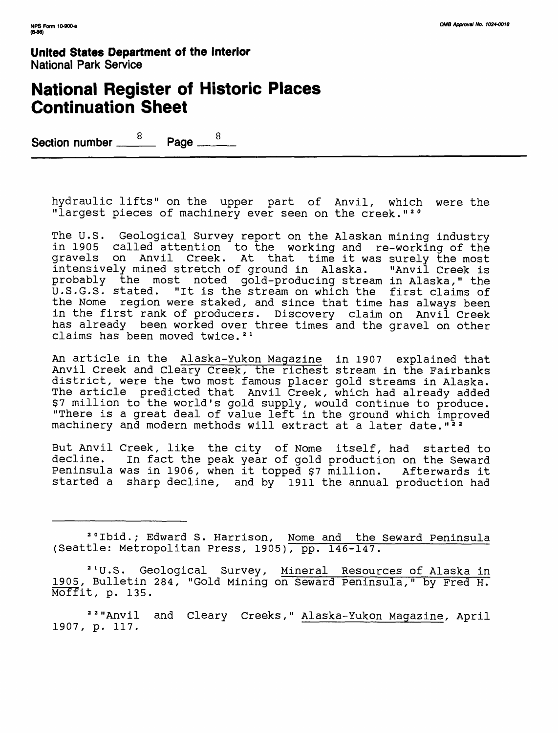## **National Register of Historic Places Continuation Sheet**

 $\frac{8}{\sqrt{2}}$  Page  $\frac{8}{\sqrt{2}}$ Section number \_\_\_\_

hydraulic lifts" on the upper part of Anvil, which were the "largest pieces of machinery ever seen on the creek."<sup>20</sup>

The U.S. Geological Survey report on the Alaskan mining industry in 1905 called attention to the working and re-working of the gravels on Anvil Creek. At that time it was surely the most intensively mined stretch of ground in Alaska. "Anvil Creek is probably the most noted gold-producing stream in Alaska," the U.S.G.S. stated. "It is the stream on which the first claims of the Nome region were staked, and since that time has always been in the first rank of producers. Discovery claim on Anvil Creek has already been worked over three times and the gravel on other claims has been moved twice.<sup>21</sup>

An article in the Alaska-Yukon Magazine in 1907 explained that Anvil Creek and Cleary Creek, the richest stream in the Fairbanks district, were the two most famous placer gold streams in Alaska. The article predicted that Anvil Creek, which had already added \$7 million to the world's gold supply, would continue to produce. "There is a great deal of value left in the ground which improved machinery and modern methods will extract at a later date."<sup>22</sup>

But Anvil Creek, like the city of Nome itself, had started to<br>decline. In fact the peak year of gold production on the Seward In fact the peak year of gold production on the Seward Peninsula was in 1906, when it topped \$7 million. Afterwards it started a sharp decline, and by 1911 the annual production had

20 Ibid.; Edward S. Harrison, Nome and the Seward Peninsula (Seattle: Metropolitan Press, 1905), pp. 146-147.

21 U.S. Geological Survey, Mineral Resources of Alaska in 1905, Bulletin 284, "Gold Mining on Seward peninsula," by Fred H. Moffit, p. 135.

22 "Anvil and Cleary Creeks," Alaska-Yukon Magazine, April 1907, p. 117.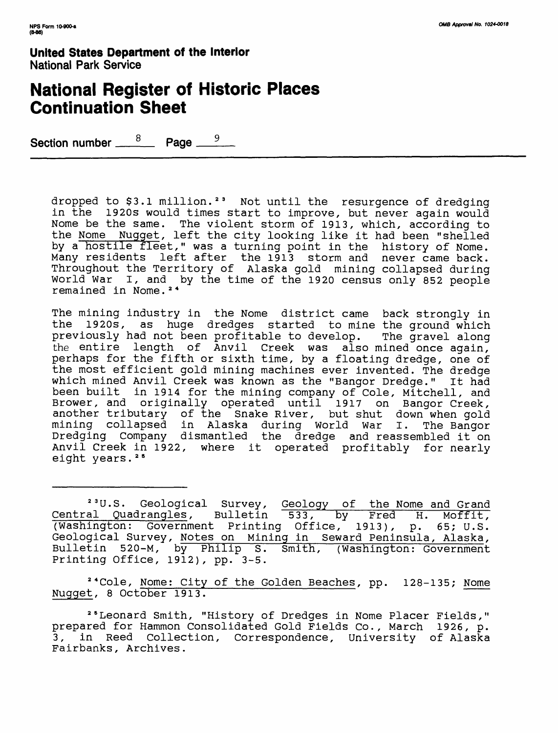# **National Register of Historic Places Continuation Sheet**

Section number  $\frac{8}{2}$  Page  $\frac{1}{2}$ 

dropped to \$3.1 million. 23 Not until the resurgence of dredging in the 1920s would times start to improve, but never again would Nome be the same. The violent storm of 1913, which, according to the Nome Nugget *,* left the city looking like it had been "shelled by a hostile fleet," was a turning point in the history of Nome. Many residents left after the 1913 storm and never came back. Throughout the Territory of Alaska gold mining collapsed during World War I, and by the time of the 1920 census only 852 people remained in Nome. 24

The mining industry in the Nome district came back strongly in the 1920s, as huge dredges started to mine the ground which previously had not been profitable to develop. The gravel along the entire length of Anvil Creek was also mined once again, perhaps for the fifth or sixth time, by a floating dredge, one of the most efficient gold mining machines ever invented. The dredge which mined Anvil Creek was known as the "Bangor Dredge." It had been built in 1914 for the mining company of Cole, Mitchell, and Brower, and originally operated until 1917 on Bangor Creek, another tributary of the Snake River, but shut down when gold mining collapsed in Alaska during World War I. The Bangor Dredging Company dismantled the dredge and reassembled it on Anvil Creek in 1922, where it operated profitably for nearly eight years.<sup>25</sup>

<sup>23</sup>U.S. Geological Survey, Geology of the Nome and Grand Central Quadrangles, Bulletin 533, by Fred H. Moffit, (Washington: Government Printing Office, 1913), p. 65; U.S. Geological Survey, Notes on Mining in Seward Peninsula, Alaska, Bulletin 520-M, by Philip S. Smith, (Washington: Government Printing Office, 1912), pp. 3-5.

24 Cole, Nome: City of the Golden Beaches, pp. 128-135; Nome Nugget, 8 October 1913.

26 Leonard Smith, "History of Dredges in Nome Placer Fields," prepared for Hammon Consolidated Gold Fields Co., March 1926, p. 3, in Reed Collection, Correspondence, University of Alaska Fairbanks, Archives.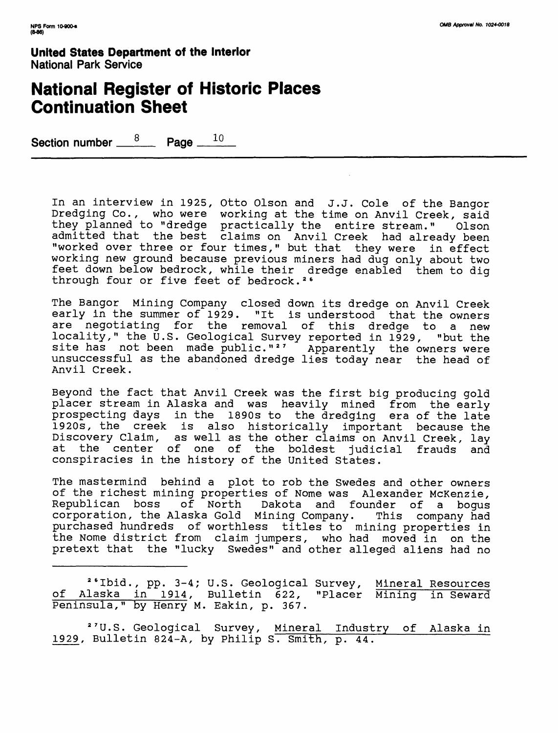## **National Register of Historic Places Continuation Sheet**

Section number  $\frac{8}{2}$  Page  $\frac{10}{2}$ 

In an interview in 1925, Otto Olson and J.J. Cole of the Bangor Dredging Co., who were working at the time on Anvil Creek, said they planned to "dredge practically the entire stream." Olson admitted that the best claims on Anvil Creek had already been "worked over three or four times," but that they were in effect working new ground because previous miners had dug only about two feet down below bedrock, while their dredge enabled them to dig through four or five feet of bedrock. 26

The Bangor Mining Company closed down its dredge on Anvil Creek early in the summer of 1929. "It is understood that the owners are negotiating for the removal of this dredge to a new locality," the U.S. Geological Survey reported in 1929, "but the site has not been made public."<sup>27</sup> Apparently the owners were unsuccessful as the abandoned dredge lies today near the head of Anvil Creek.

Beyond the fact that Anvil Creek was the first big producing gold placer stream in Alaska and was heavily mined from the early prospecting days in the 1890s to the dredging era of the late 1920s, the creek is also historically important because the Discovery Claim, as well as the other claims on Anvil Creek, lay<br>at the center of one of the boldest iudicial frauds and the center of one of the boldest judicial frauds and conspiracies in the history of the United States.

The mastermind behind a plot to rob the Swedes and other owners of the richest mining properties of Nome was Alexander McKenzie,<br>Republican boss of North Dakota and founder of a boqus Dakota and founder of a bogus corporation, the Alaska Gold Mining Company. This company had purchased hundreds of worthless titles to mining properties in the Nome district from claim jumpers, who had moved in on the pretext that the "lucky Swedes" and other alleged aliens had no

<sup>26</sup>Ibid., pp. 3–4; U.S. Geological Survey, <u>Mineral Resources</u> of Alaska in 1914, Bulletin 622, "Placer Mining in Seward Peninsula," by Henry M. Eakin, p. 367.

27 U.S. Geological Survey, Mineral Industry of Alaska in 1929, Bulletin 824-A, by Philip S. Smith, p. 44.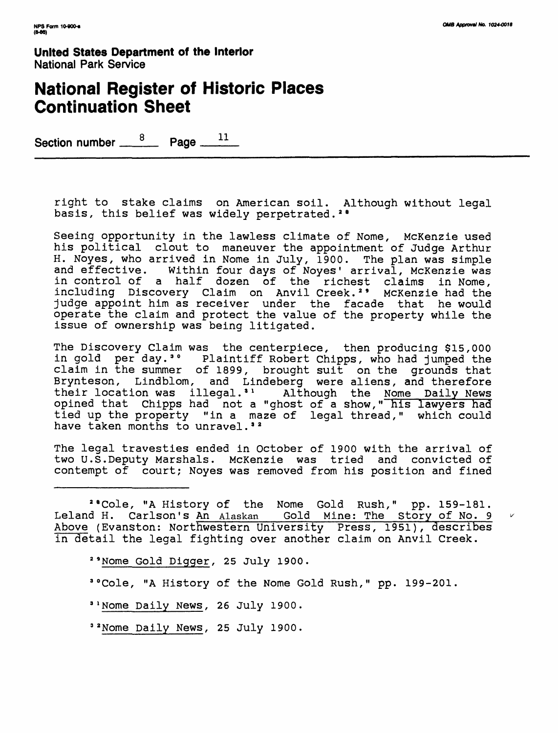*V*

**United States Department of the Interior** National Park Service

## **National Register of Historic Places Continuation Sheet**

Section number  $\frac{8}{2}$  Page  $\frac{11}{2}$ 

right to stake claims on American soil. Although without legal basis, this belief was widely perpetrated.<sup>28</sup>

Seeing opportunity in the lawless climate of Nome, McKenzie used his political clout to maneuver the appointment of Judge Arthur H. Noyes, who arrived in Nome in July, 1900. The plan was simple<br>and effective. Within four days of Noves' arrival, McKenzie was Within four days of Noyes' arrival, McKenzie was in control of a half dozen of the richest claims in Nome, including Discovery Claim on Anvil Creek.<sup>2</sup> McKenzie had the judge appoint him as receiver under the facade that he would operate the claim and protect the value of the property while the issue of ownership was being litigated.

The Discovery Claim was the centerpiece, then producing \$15,000 in gold per day.<sup>30</sup> Plaintiff Robert Chipps, who had jumped the claim in the summer of 1899, brought suit on the grounds that Brynteson, Lindblom, and Lindeberg were aliens, and therefore their location was illegal.<sup>31</sup> Although the Nome Daily News opined that Chipps had not a "ghost of a show," his lawyers had tied up the property "in a maze of legal thread," which could have taken months to unravel.<sup>32</sup>

The legal travesties ended in October of 1900 with the arrival of two U.S.Deputy Marshals. McKenzie was tried and convicted of contempt of court; Noyes was removed from his position and fined

<sup>2</sup> "Cole, "A History of the Nome Gold Rush," pp. 159-181. Leland H. Carlson's An Alaskan Gold Mine: The Story of No. 9 Above (Evanston: Northwestern University Press, 1951), describes in detail the legal fighting over another claim on Anvil Creek.

*29* Nome Gold Digger, 25 July 1900.

30 Cole, "A History of the Nome Gold Rush," pp. 199-201.

 $3$ <sup>1</sup> Nome Daily News, 26 July 1900.

32 Nome Daily News, 25 July 1900.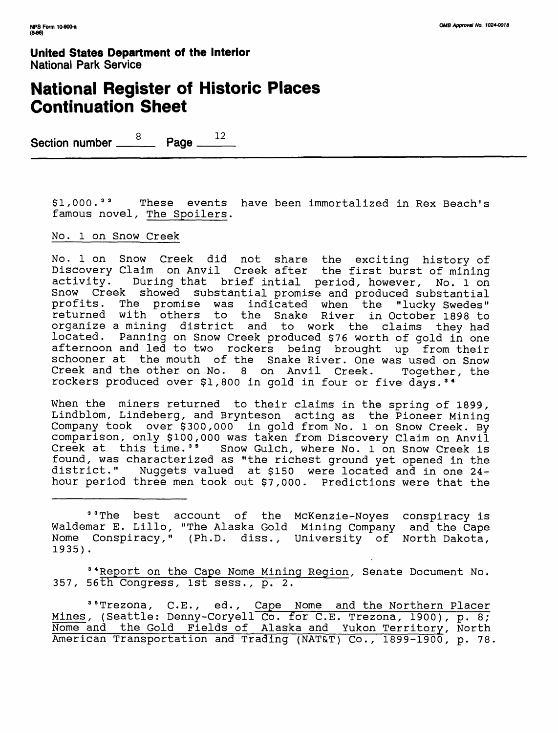## **National Register of Historic Places Continuation Sheet**

Section number <u>8</u> Page 12

\$1,000.<sup>33</sup> These events have been immortalized in Rex Beach's famous novel, The Spoilers.

#### No. 1 on Snow Creek

No. 1 on Snow Creek did not share the exciting history of Discovery Claim on Anvil Creek after the first burst of mining activity. During that brief intial period, however, No. l on Snow Creek showed substantial promise and produced substantial profits. The promise was indicated when the "lucky Swedes" returned with others to the Snake River in October 1898 to organize a mining district and to work the claims they had located. Panning on Snow Creek produced \$76 worth of gold in one afternoon and led to two rockers being brought up from their schooner at the mouth of the Snake River. One was used on Snow Creek and the other on No. 8 on Anvil Creek. Together, the rockers produced over \$1,800 in gold in four or five days. 3 4

When the miners returned to their claims in the spring of 1899, Lindblom, Lindeberg, and Brynteson acting as the Pioneer Mining Company took over \$300,000 in gold from No. 1 on Snow Creek. By comparison, only \$100,000 was taken from Discovery Claim on Anvil Creek at this time.<sup>35</sup> Snow Gulch, where No. 1 on Snow Creek is found, was characterized as "the richest ground yet opened in the district." Nuggets valued at \$150 were located and in one 24 hour period three men took out \$7,000. Predictions were that the

<sup>33</sup> The best account of the McKenzie-Noyes conspiracy is Waldemar E. Lillo, "The Alaska Gold Mining Company and the Cape Nome Conspiracy," (Ph.D. diss., University of North Dakota, 1935) .

34 Report on the Cape Nome Mining Region, Senate Document No. 357, 56th Congress, 1st sess., p. 2.

<sup>35</sup> Trezona, C.E., ed., Cape Nome and the Northern Placer Mines, (Seattle: Denny-Coryell Co. for C.E. Trezona, 1900), p. 8; Nome and the Gold Fields of Alaska and Yukon Territory, North American Transportation and Trading (NAT&T) Co., 1899-1900, p. 78.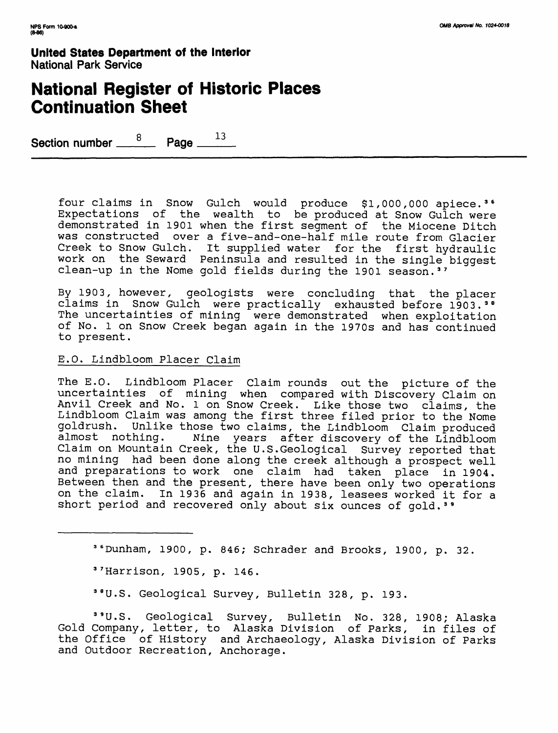# **National Register of Historic Places Continuation Sheet**

Section number <u>8</u> Page 13

four claims in Snow Gulch would produce \$1,000,000 apiece. 3 6 Expectations of the wealth to be produced at Snow Gulch were demonstrated in 1901 when the first segment of the Miocene Ditch was constructed over a five-and-one-half mile route from Glacier Creek to Snow Gulch. It supplied water for the first hydraulic work on the Seward Peninsula and resulted in the single biggest clean-up in the Nome gold fields during the 1901 season. 37

By 1903, however, geologists were concluding that the placer claims in Snow Gulch were practically exhausted before 1903.<sup>38</sup> The uncertainties of mining were demonstrated when exploitation of No. 1 on Snow Creek began again in the 1970s and has continued to present.

#### E.O. Lindbloom Placer Claim

The E.O. Lindbloom Placer Claim rounds out the picture of the uncertainties of mining when compared with Discovery Claim on Anvil Creek and No. l on Snow Creek. Like those two claims, the Lindbloom Claim was among the first three filed prior to the Nome goldrush. Unlike those two claims, the Lindbloom Claim produced Nine years after discovery of the Lindbloom Claim on Mountain Creek, the U.S.Geological Survey reported that no mining had been done along the creek although a prospect well and preparations to work one claim had taken place in 1904. Between then and the present, there have been only two operations on the claim. In 1936 and again in 1938, leasees worked it for a short period and recovered only about six ounces of gold.<sup>39</sup>

Dunham, 1900, p. 846; Schrader and Brooks, 1900, p. 32.

3 7 Harrison, 1905, p. 146.

38 U.S. Geological Survey, Bulletin 328, p. 193.

<sup>3</sup> "U.S. Geological Survey, Bulletin No. 328, 1908; Alaska Gold Company, letter, to Alaska Division of Parks, in files of the Office of History and Archaeology, Alaska Division of Parks and Outdoor Recreation, Anchorage.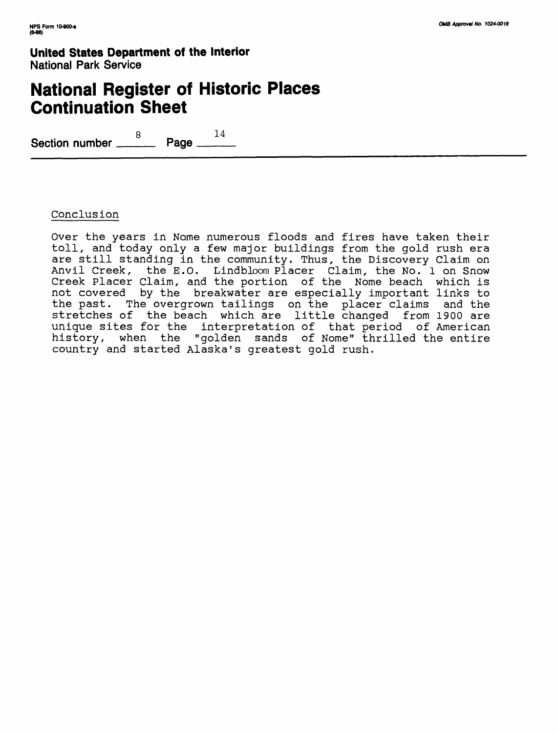# **National Register of Historic Places Continuation Sheet**

8 14 **Section number \_\_\_\_ Page \_\_\_\_**

### Conclusion

Over the years in Nome numerous floods and fires have taken their toll, and today only a few major buildings from the gold rush era are still standing in the community. Thus, the Discovery Claim on Anvil Creek, the E.O. Lindbloom Placer Claim, the No. 1 on Snow Creek Placer Claim, and the portion of the Nome beach which is not covered by the breakwater are especially important links to the past. The overgrown tailings on the placer claims and the stretches of the beach which are little changed from 1900 are unique sites for the interpretation of that period of American history, when the "golden sands of Nome" thrilled the entire country and started Alaska's greatest gold rush.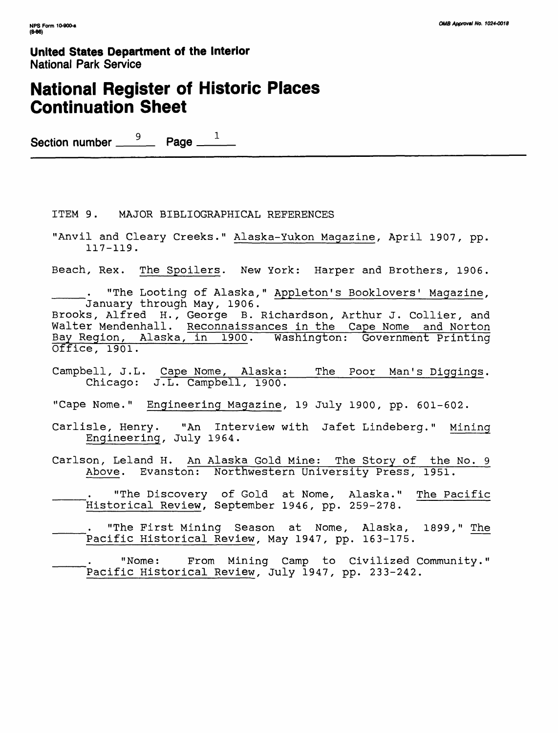# **National Register of Historic Places Continuation Sheet**

Section number  $\overset{9}{\rule{25pt}{0.5pt}}$  Page  $\overset{1}{\rule{25pt}{0.5pt}}$ 

ITEM 9. MAJOR BIBLIOGRAPHICAL REFERENCES

"Anvil and Cleary Creeks." Alaska-Yukon Magazine *,* April 1907, pp. 117-119.

Beach, Rex. The Spoilers. New York: Harper and Brothers, 1906.

"The Looting of Alaska," Appleton's Booklovers' Magazine, January through May, 1906. Brooks, Alfred H., George B. Richardson, Arthur J. Collier, and Walter Mendenhall. Reconnaissances in the Cape Nome and Norton

Bay Region, Alaska, in 1900. Washington: Government Printing Office, 1901.

Campbell, J.L. Cape Nome, Alaska:\_\_\_The Poor Man's Diggings. Chicago: J.L. Campbell, 1900.

"Cape Nome." Engineering Magazine, 19 July 1900, pp. 601-602.

- Carlisle, Henry. "An Interview with Jafet Lindeberg." Mining Engineering, July 1964.
- Carlson, Leland H. An Alaska Gold Mine: The Story of the No. 9 Above. Evanston: Northwestern University Press, 1951.
- "The Discovery of Gold at Nome, Alaska." The Pacific Historical Review, September 1946, pp. 259-278.
- "The First Mining Season at Nome, Alaska, 1899," The Pacific Historical Review, May 1947, pp. 163-175.

"Nome: From Mining Camp to Civilized Community." Pacific Historical Review, July 1947, pp. 233-242.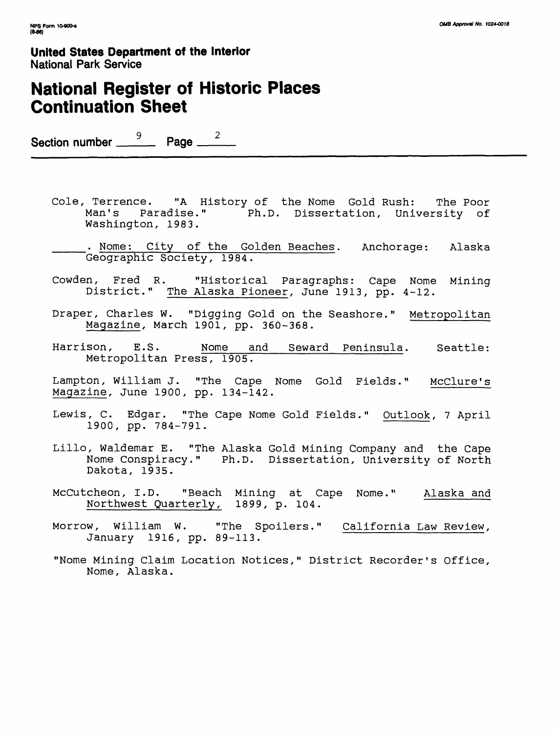# **National Register of Historic Places Continuation Sheet**

Section number  $\frac{9}{2}$  Page  $\frac{2}{2}$ 

- Cole, Terrence. "A History of the Nome Gold Rush: The Poor Man's Paradise." Ph.D. Dissertation, University of Washington, 1983.
- . Nome: City of the Golden Beaches. Anchorage: Alaska Geographic Society, 1984.
- Cowden, Fred R. "Historical Paragraphs: Cape Nome Mining District." The Alaska Pioneer, June 1913, pp. 4-12.
- Draper, Charles W. "Digging Gold on the Seashore." Metropolitan Magazine, March 1901, pp. 360-368.
- Harrison, E.S. Nome and Seward Peninsula. Seattle: Metropolitan Press, 1905.
- Lampton, William J. "The Cape Nome Gold Fields." McClure's Magazine, June 1900, pp. 134-142.
- Lewis, C. Edgar. "The Cape Nome Gold Fields." Outlook, 7 April 1900, pp. 784-791.
- Lillo, Waldemar E. "The Alaska Gold Mining Company and the Cape Nome Conspiracy." Ph.D. Dissertation, University of North Dakota, 1935.
- McCutcheon, I.D. "Beach Mining at Cape Nome." Alaska and Northwest Quarterly, 1899, p. 104.
- Morrow, William W. "The Spoilers." California Law Review, January 1916, pp. 89-113.
- "Nome Mining Claim Location Notices," District Recorder's Office, Nome, Alaska.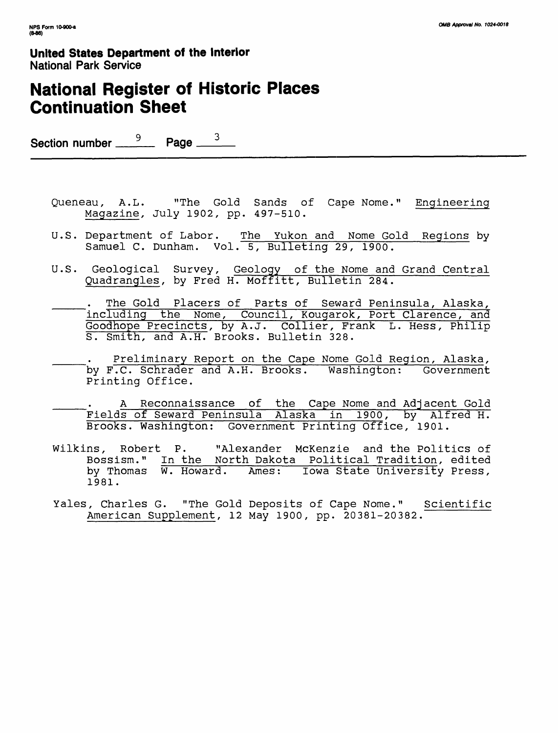# **National Register of Historic Places Continuation Sheet**

Section number  $\frac{9}{2}$  Page  $\frac{3}{2}$ 

- Queneau, A.L. "The Gold Sands of Cape Nome." Engineering Magazine, July 1902, pp. 497-510.
- U.S. Department of Labor. The Yukon and Nome Gold Regions by Samuel C. Dunham. Vol. 5, Bulleting 29, 1900.
- U.S. Geological Survey, Geology of the Nome and Grand Central Quadrangles, by Fred H. Moffitt, Bulletin 284.
- \_\_\_\_\_. The Gold Placers of Parts of Seward Peninsula, Alaska, including the Nome, Council, Kougarok, Port Clarence, and Goodhope Precincts, by A.J. Collier, Frank L. Hess, Philip S. Smith, and A.H. Brooks. Bulletin 328.
- Preliminary Report on the Cape Nome Gold Region, Alaska, by F.C. Schrader and A.H. Brooks. Washington: Government Printing Office.
- A Reconnaissance of the Cape Nome and Adjacent Gold Fields of Seward Peninsula Alaska in 1900, by Alfred H. Brooks. Washington: Government Printing Office, 1901.
- Wilkins, Robert P. "Alexander McKenzie and the Politics of Bossism." In the North Dakota Political Tradition, edited by Thomas W. Howard. Ames: Iowa State University Press, 1981.
- Yales, Charles G. "The Gold Deposits of Cape Nome." Scientific American Supplement, 12 May 1900, pp. 20381-20382.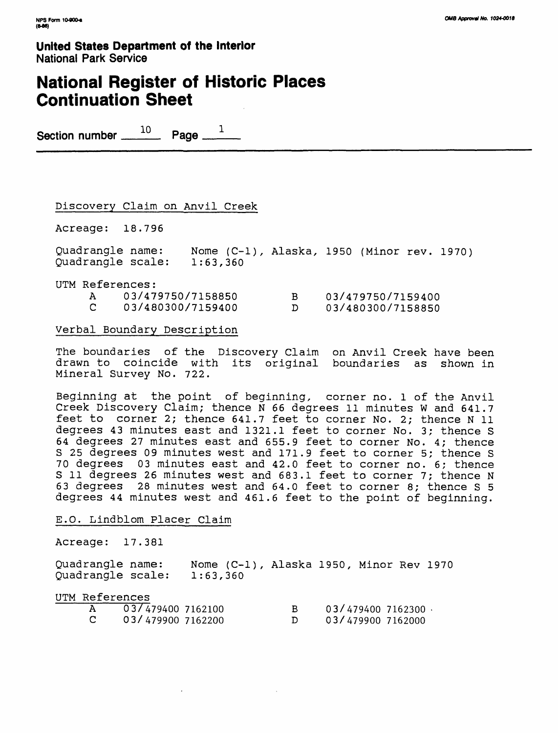# **National Register of Historic Places Continuation Sheet**

Section number  $10$  Page  $1$ 

### Discovery Claim on Anvil Creek

Acreage: 18.796

Quadrangle name: Nome (C-l), Alaska, 1950 (Minor rev. 1970) Quadrangle scale: 1:63,360

UTM References: A 03/479750/7158850 B 03/479750/7159400 C 03/480300/7159400 D 03/480300/7158850

#### Verbal Boundary Description

The boundaries of the Discovery Claim on Anvil Creek have been drawn to coincide with its original boundaries as shown in Mineral Survey No. 722.

Beginning at the point of beginning, corner no. 1 of the Anvil Creek Discovery Claim; thence N 66 degrees 11 minutes W and 641.7 feet to corner 2; thence 641.7 feet to corner No. 2; thence N 11 degrees 43 minutes east and 1321.1 feet to corner No. 3; thence S 64 degrees 27 minutes east and 655.9 feet to corner No. 4; thence S 25 degrees 09 minutes west and 171.9 feet to corner 5; thence S 70 degrees 03 minutes east and 42.0 feet to corner no. 6; thence S 11 degrees 26 minutes west and 683.1 feet to corner 7; thence N 63 degrees 28 minutes west and 64.0 feet to corner 8; thence S 5 degrees 44 minutes west and 461.6 feet to the point of beginning.

#### E.O. Lindblom Placer Claim

Acreage: 17.381

Quadrangle name: Nome (C-1), Alaska 1950, Minor Rev 1970<br>Ouadrangle scale: 1:63,360 Quadrangle scale:

UTM References

| A  | 03/4794007162100  | 03/4794007162300  |
|----|-------------------|-------------------|
| C. | 03/479900 7162200 | 03/479900 7162000 |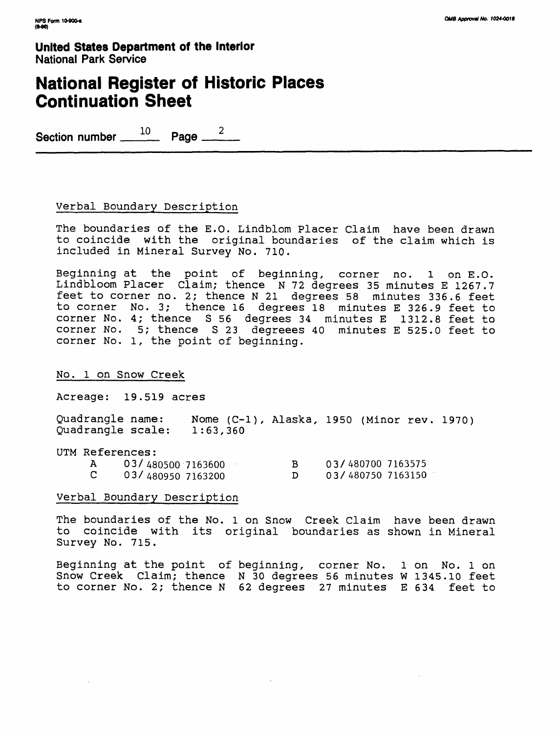## **National Register of Historic Places Continuation Sheet**

Section number 10 Page 2

#### Verbal Boundary Description

The boundaries of the E.O. Lindblom Placer Claim have been drawn to coincide with the original boundaries of the claim which is included in Mineral Survey No. 710.

Beginning at the point of beginning, corner no. l on E.O. Lindbloom Placer Claim; thence N 72 degrees 35 minutes E 1267.7 feet to corner no. 2; thence N 21 degrees 58 minutes 336.6 feet to corner No. 3; thence 16 degrees 18 minutes E 326.9 feet to corner No. 4; thence S 56 degrees 34 minutes E 1312.8 feet to corner No. 5; thence S 23 degreees 40 minutes E 525.0 feet to corner No. 1, the point of beginning.

#### No. 1 on Snow Creek

Acreage: 19.519 acres

Quadrangle name: Nome (C-l), Alaska, 1950 (Minor rev. 1970) Quadrangle scale: 1:63,360

| UTM References: |                        |                   |
|-----------------|------------------------|-------------------|
|                 | A 03/480500 7163600    | 03/480700 7163575 |
|                 | $C = 03/4809507163200$ | 03/480750 7163150 |

#### Verbal Boundary Description

The boundaries of the No. 1 on Snow Creek Claim have been drawn to coincide with its original boundaries as shown in Mineral Survey No. 715.

Beginning at the point of beginning, corner No. 1 on No. 1 on Snow Creek Claim; thence N 30 degrees 56 minutes W 1345.10 feet to corner No. 2; thence N 62 degrees 27 minutes E 634 feet to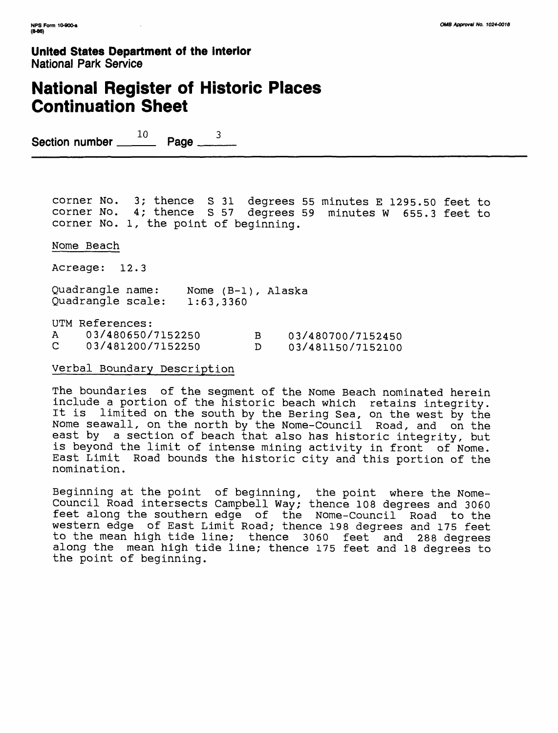# **National Register of Historic Places Continuation Sheet**

Section number  $10$  Page . 3

corner No. 3; thence S 31 degrees 55 minutes E 1295.50 feet to corner No. 4; thence S 57 degrees 59 minutes W 655.3 feet to corner No. 1, the point of beginning.

Nome Beach

Acreage: 12.3

Quadrangle name: Quadrangle scale: 1:63,3360 Nome (B-l), Alaska

UTM References:

| 03/480650/7152250 | 03/480700/7152450 |
|-------------------|-------------------|
| 03/481200/7152250 | 03/481150/7152100 |

Verbal Boundary Description

The boundaries of the segment of the Nome Beach nominated herein include a portion of the historic beach which retains integrity. It is limited on the south by the Bering Sea, on the west by the Nome seawall, on the north by the Nome-Council Road, and on the east by a section of beach that also has historic integrity, but is beyond the limit of intense mining activity in front of Nome. East Limit Road bounds the historic city and this portion of the nomination.

Beginning at the point of beginning, the point where the Nome-Council Road intersects Campbell Way; thence 108 degrees and 3060 feet along the southern edge of the Nome-Council Road to the western edge of East Limit Road; thence 198 degrees and 175 feet to the mean high tide line; thence 3060 feet and 288 degrees along the mean high tide line; thence 175 feet and 18 degrees to the point of beginning.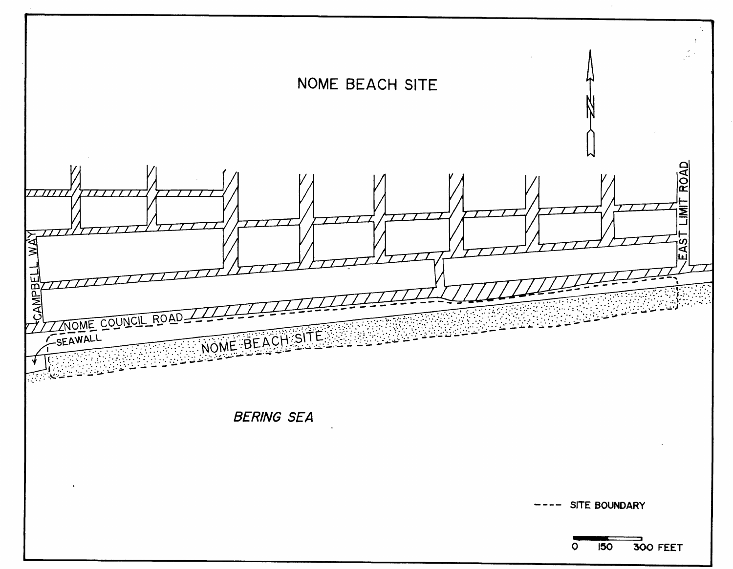